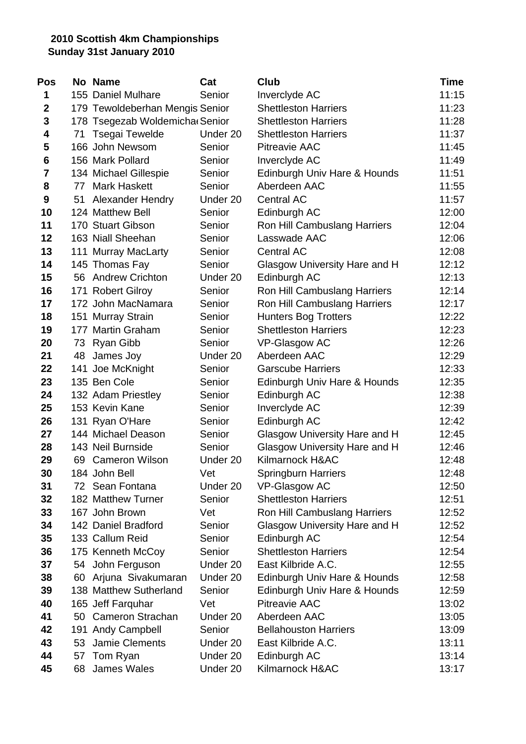| Pos         |    | No Name                         | Cat      | <b>Club</b>                   | <b>Time</b> |
|-------------|----|---------------------------------|----------|-------------------------------|-------------|
| 1           |    | 155 Daniel Mulhare              | Senior   | Inverclyde AC                 | 11:15       |
| $\mathbf 2$ |    | 179 Tewoldeberhan Mengis Senior |          | <b>Shettleston Harriers</b>   | 11:23       |
| 3           |    | 178 Tsegezab Woldemicha Senior  |          | <b>Shettleston Harriers</b>   | 11:28       |
| 4           | 71 | Tsegai Tewelde                  | Under 20 | <b>Shettleston Harriers</b>   | 11:37       |
| 5           |    | 166 John Newsom                 | Senior   | <b>Pitreavie AAC</b>          | 11:45       |
| 6           |    | 156 Mark Pollard                | Senior   | Inverclyde AC                 | 11:49       |
| 7           |    | 134 Michael Gillespie           | Senior   | Edinburgh Univ Hare & Hounds  | 11:51       |
| 8           | 77 | <b>Mark Haskett</b>             | Senior   | Aberdeen AAC                  | 11:55       |
| 9           | 51 | <b>Alexander Hendry</b>         | Under 20 | <b>Central AC</b>             | 11:57       |
| 10          |    | 124 Matthew Bell                | Senior   | Edinburgh AC                  | 12:00       |
| 11          |    | 170 Stuart Gibson               | Senior   | Ron Hill Cambuslang Harriers  | 12:04       |
| 12          |    | 163 Niall Sheehan               | Senior   | Lasswade AAC                  | 12:06       |
| 13          |    | 111 Murray MacLarty             | Senior   | Central AC                    | 12:08       |
| 14          |    | 145 Thomas Fay                  | Senior   | Glasgow University Hare and H | 12:12       |
| 15          |    | 56 Andrew Crichton              | Under 20 | Edinburgh AC                  | 12:13       |
| 16          |    | 171 Robert Gilroy               | Senior   | Ron Hill Cambuslang Harriers  | 12:14       |
| 17          |    | 172 John MacNamara              | Senior   | Ron Hill Cambuslang Harriers  | 12:17       |
| 18          |    | 151 Murray Strain               | Senior   | <b>Hunters Bog Trotters</b>   | 12:22       |
| 19          |    | 177 Martin Graham               | Senior   | <b>Shettleston Harriers</b>   | 12:23       |
| 20          | 73 | <b>Ryan Gibb</b>                | Senior   | VP-Glasgow AC                 | 12:26       |
| 21          | 48 | James Joy                       | Under 20 | Aberdeen AAC                  | 12:29       |
| 22          |    | 141 Joe McKnight                | Senior   | <b>Garscube Harriers</b>      | 12:33       |
| 23          |    | 135 Ben Cole                    | Senior   | Edinburgh Univ Hare & Hounds  | 12:35       |
| 24          |    | 132 Adam Priestley              | Senior   | Edinburgh AC                  | 12:38       |
| 25          |    | 153 Kevin Kane                  | Senior   | Inverclyde AC                 | 12:39       |
| 26          |    | 131 Ryan O'Hare                 | Senior   | Edinburgh AC                  | 12:42       |
| 27          |    | 144 Michael Deason              | Senior   | Glasgow University Hare and H | 12:45       |
| 28          |    | 143 Neil Burnside               | Senior   | Glasgow University Hare and H | 12:46       |
| 29          |    | 69 Cameron Wilson               | Under 20 | Kilmarnock H&AC               | 12:48       |
| 30          |    | 184 John Bell                   | Vet      | <b>Springburn Harriers</b>    | 12:48       |
| 31          |    | 72 Sean Fontana                 | Under 20 | VP-Glasgow AC                 | 12:50       |
| 32          |    | 182 Matthew Turner              | Senior   | <b>Shettleston Harriers</b>   | 12:51       |
| 33          |    | 167 John Brown                  | Vet      | Ron Hill Cambuslang Harriers  | 12:52       |
| 34          |    | 142 Daniel Bradford             | Senior   | Glasgow University Hare and H | 12:52       |
| 35          |    | 133 Callum Reid                 | Senior   | Edinburgh AC                  | 12:54       |
| 36          |    | 175 Kenneth McCoy               | Senior   | <b>Shettleston Harriers</b>   | 12:54       |
| 37          |    | 54 John Ferguson                | Under 20 | East Kilbride A.C.            | 12:55       |
| 38          |    | 60 Arjuna Sivakumaran           | Under 20 | Edinburgh Univ Hare & Hounds  | 12:58       |
| 39          |    | 138 Matthew Sutherland          | Senior   | Edinburgh Univ Hare & Hounds  | 12:59       |
| 40          |    | 165 Jeff Farquhar               | Vet      | <b>Pitreavie AAC</b>          | 13:02       |
| 41          |    | 50 Cameron Strachan             | Under 20 | Aberdeen AAC                  | 13:05       |
| 42          |    | 191 Andy Campbell               | Senior   | <b>Bellahouston Harriers</b>  | 13:09       |
| 43          | 53 | Jamie Clements                  | Under 20 | East Kilbride A.C.            | 13:11       |
| 44          | 57 | Tom Ryan                        | Under 20 | Edinburgh AC                  | 13:14       |
| 45          | 68 | James Wales                     | Under 20 | Kilmarnock H&AC               | 13:17       |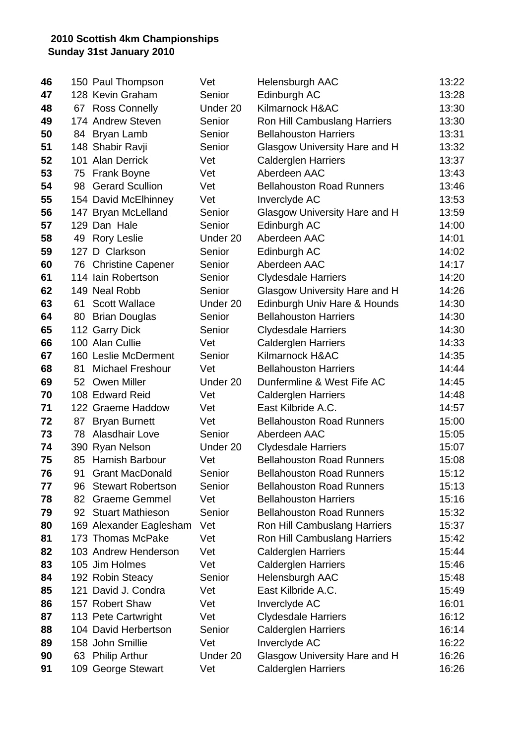| 46 |    | 150 Paul Thompson        | Vet      | <b>Helensburgh AAC</b>           | 13:22 |
|----|----|--------------------------|----------|----------------------------------|-------|
| 47 |    | 128 Kevin Graham         | Senior   | Edinburgh AC                     | 13:28 |
| 48 | 67 | <b>Ross Connelly</b>     | Under 20 | Kilmarnock H&AC                  | 13:30 |
| 49 |    | 174 Andrew Steven        | Senior   | Ron Hill Cambuslang Harriers     | 13:30 |
| 50 |    | 84 Bryan Lamb            | Senior   | <b>Bellahouston Harriers</b>     | 13:31 |
| 51 |    | 148 Shabir Ravji         | Senior   | Glasgow University Hare and H    | 13:32 |
| 52 |    | 101 Alan Derrick         | Vet      | <b>Calderglen Harriers</b>       | 13:37 |
| 53 | 75 | <b>Frank Boyne</b>       | Vet      | Aberdeen AAC                     | 13:43 |
| 54 | 98 | <b>Gerard Scullion</b>   | Vet      | <b>Bellahouston Road Runners</b> | 13:46 |
| 55 |    | 154 David McElhinney     | Vet      | Inverclyde AC                    | 13:53 |
| 56 |    | 147 Bryan McLelland      | Senior   | Glasgow University Hare and H    | 13:59 |
| 57 |    | 129 Dan Hale             | Senior   | Edinburgh AC                     | 14:00 |
| 58 |    | 49 Rory Leslie           | Under 20 | Aberdeen AAC                     | 14:01 |
| 59 |    | 127 D Clarkson           | Senior   | Edinburgh AC                     | 14:02 |
| 60 |    | 76 Christine Capener     | Senior   | Aberdeen AAC                     | 14:17 |
| 61 |    | 114 Iain Robertson       | Senior   | <b>Clydesdale Harriers</b>       | 14:20 |
| 62 |    | 149 Neal Robb            | Senior   | Glasgow University Hare and H    | 14:26 |
| 63 | 61 | <b>Scott Wallace</b>     | Under 20 | Edinburgh Univ Hare & Hounds     | 14:30 |
| 64 |    | 80 Brian Douglas         | Senior   | <b>Bellahouston Harriers</b>     | 14:30 |
| 65 |    | 112 Garry Dick           | Senior   | <b>Clydesdale Harriers</b>       | 14:30 |
| 66 |    | 100 Alan Cullie          | Vet      | <b>Calderglen Harriers</b>       | 14:33 |
| 67 |    | 160 Leslie McDerment     | Senior   | Kilmarnock H&AC                  | 14:35 |
| 68 | 81 | <b>Michael Freshour</b>  | Vet      | <b>Bellahouston Harriers</b>     | 14:44 |
| 69 | 52 | <b>Owen Miller</b>       | Under 20 | Dunfermline & West Fife AC       | 14:45 |
| 70 |    | 108 Edward Reid          | Vet      | <b>Calderglen Harriers</b>       | 14:48 |
| 71 |    | 122 Graeme Haddow        | Vet      | East Kilbride A.C.               | 14:57 |
| 72 | 87 | <b>Bryan Burnett</b>     | Vet      | <b>Bellahouston Road Runners</b> | 15:00 |
| 73 |    | 78 Alasdhair Love        | Senior   | Aberdeen AAC                     | 15:05 |
| 74 |    | 390 Ryan Nelson          | Under 20 | <b>Clydesdale Harriers</b>       | 15:07 |
| 75 |    | 85 Hamish Barbour        | Vet      | <b>Bellahouston Road Runners</b> | 15:08 |
| 76 | 91 | <b>Grant MacDonald</b>   | Senior   | <b>Bellahouston Road Runners</b> | 15:12 |
| 77 | 96 | <b>Stewart Robertson</b> | Senior   | <b>Bellahouston Road Runners</b> | 15:13 |
| 78 | 82 | <b>Graeme Gemmel</b>     | Vet      | <b>Bellahouston Harriers</b>     | 15:16 |
| 79 |    | 92 Stuart Mathieson      | Senior   | <b>Bellahouston Road Runners</b> | 15:32 |
| 80 |    | 169 Alexander Eaglesham  | Vet      | Ron Hill Cambuslang Harriers     | 15:37 |
| 81 |    | 173 Thomas McPake        | Vet      | Ron Hill Cambuslang Harriers     | 15:42 |
| 82 |    | 103 Andrew Henderson     | Vet      | <b>Calderglen Harriers</b>       | 15:44 |
| 83 |    | 105 Jim Holmes           | Vet      | <b>Calderglen Harriers</b>       | 15:46 |
| 84 |    | 192 Robin Steacy         | Senior   | Helensburgh AAC                  | 15:48 |
| 85 |    | 121 David J. Condra      | Vet      | East Kilbride A.C.               | 15:49 |
| 86 |    | 157 Robert Shaw          | Vet      | Inverclyde AC                    | 16:01 |
| 87 |    | 113 Pete Cartwright      | Vet      | <b>Clydesdale Harriers</b>       | 16:12 |
| 88 |    | 104 David Herbertson     | Senior   | <b>Calderglen Harriers</b>       | 16:14 |
| 89 |    | 158 John Smillie         | Vet      | Inverclyde AC                    | 16:22 |
| 90 |    | 63 Philip Arthur         | Under 20 | Glasgow University Hare and H    | 16:26 |
| 91 |    | 109 George Stewart       | Vet      | <b>Calderglen Harriers</b>       | 16:26 |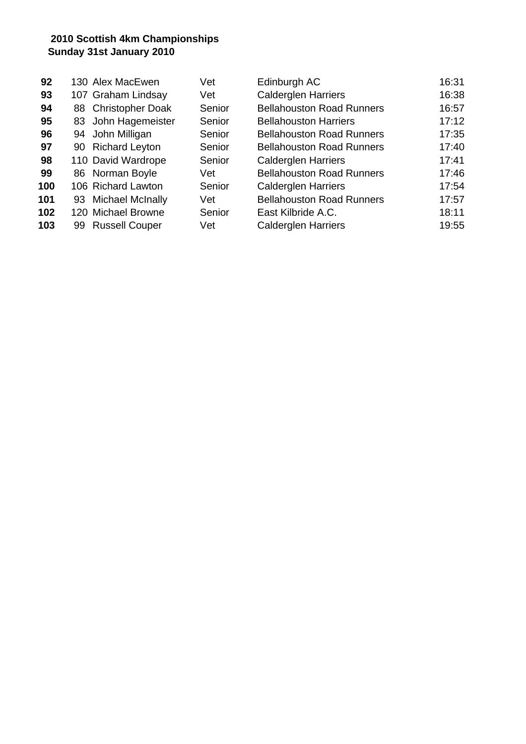| 92  | 130 Alex MacEwen    |                       | Vet    | Edinburgh AC                     | 16:31 |
|-----|---------------------|-----------------------|--------|----------------------------------|-------|
| 93  | 107 Graham Lindsay  |                       | Vet    | <b>Calderglen Harriers</b>       | 16:38 |
| 94  | 88 Christopher Doak |                       | Senior | <b>Bellahouston Road Runners</b> | 16:57 |
| 95  |                     | 83 John Hagemeister   | Senior | <b>Bellahouston Harriers</b>     | 17:12 |
| 96  | 94 John Milligan    |                       | Senior | <b>Bellahouston Road Runners</b> | 17:35 |
| 97  | 90 Richard Leyton   |                       | Senior | <b>Bellahouston Road Runners</b> | 17:40 |
| 98  | 110 David Wardrope  |                       | Senior | <b>Calderglen Harriers</b>       | 17:41 |
| 99  | 86 Norman Boyle     |                       | Vet    | <b>Bellahouston Road Runners</b> | 17:46 |
| 100 | 106 Richard Lawton  |                       | Senior | <b>Calderglen Harriers</b>       | 17:54 |
| 101 | 93 Michael McInally |                       | Vet    | <b>Bellahouston Road Runners</b> | 17:57 |
| 102 | 120 Michael Browne  |                       | Senior | East Kilbride A.C.               | 18:11 |
| 103 | 99.                 | <b>Russell Couper</b> | Vet    | <b>Calderglen Harriers</b>       | 19:55 |
|     |                     |                       |        |                                  |       |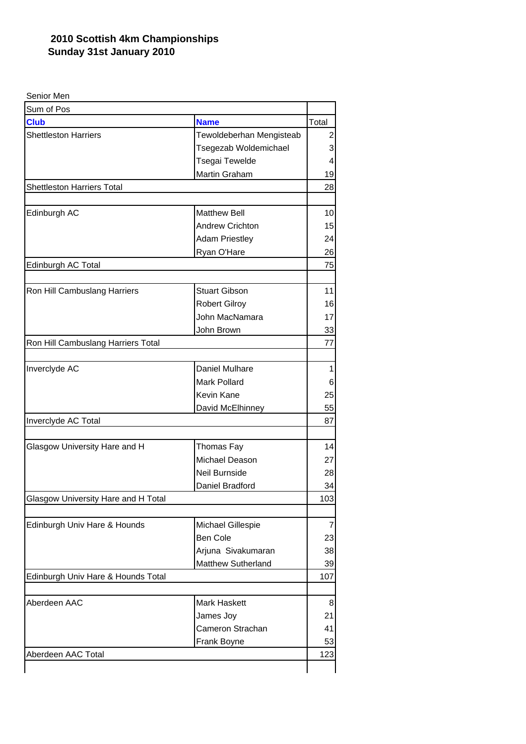| Senior Men                          |                          |              |
|-------------------------------------|--------------------------|--------------|
| Sum of Pos                          |                          |              |
| <b>Club</b>                         | <b>Name</b>              | Total        |
| <b>Shettleston Harriers</b>         | Tewoldeberhan Mengisteab | 2            |
|                                     | Tsegezab Woldemichael    | 3            |
|                                     | Tsegai Tewelde           | 4            |
|                                     | Martin Graham            | 19           |
| <b>Shettleston Harriers Total</b>   |                          | 28           |
|                                     |                          |              |
| Edinburgh AC                        | <b>Matthew Bell</b>      | 10           |
|                                     | <b>Andrew Crichton</b>   | 15           |
|                                     | <b>Adam Priestley</b>    | 24           |
|                                     | Ryan O'Hare              | 26           |
| Edinburgh AC Total                  |                          | 75           |
| Ron Hill Cambuslang Harriers        | <b>Stuart Gibson</b>     | 11           |
|                                     | <b>Robert Gilroy</b>     | 16           |
|                                     | John MacNamara           | 17           |
|                                     | John Brown               | 33           |
| Ron Hill Cambuslang Harriers Total  |                          | 77           |
|                                     |                          |              |
| Inverclyde AC                       | Daniel Mulhare           | $\mathbf{1}$ |
|                                     | Mark Pollard             | 6            |
|                                     | Kevin Kane               | 25           |
|                                     | David McElhinney         | 55           |
| Inverclyde AC Total                 |                          | 87           |
|                                     |                          |              |
| Glasgow University Hare and H       | Thomas Fay               | 14           |
|                                     | Michael Deason           | 27           |
|                                     | Neil Burnside            | 28           |
|                                     | Daniel Bradford          | 34           |
| Glasgow University Hare and H Total |                          | 103          |
|                                     |                          |              |
| Edinburgh Univ Hare & Hounds        | Michael Gillespie        | 7            |
|                                     | <b>Ben Cole</b>          | 23           |
|                                     | Arjuna Sivakumaran       | 38           |
|                                     | Matthew Sutherland       | 39           |
| Edinburgh Univ Hare & Hounds Total  |                          | 107          |
| Aberdeen AAC                        | <b>Mark Haskett</b>      | 8            |
|                                     | James Joy                | 21           |
|                                     | Cameron Strachan         |              |
|                                     |                          | 41           |
|                                     | Frank Boyne              | 53           |
| Aberdeen AAC Total                  |                          | 123          |
|                                     |                          |              |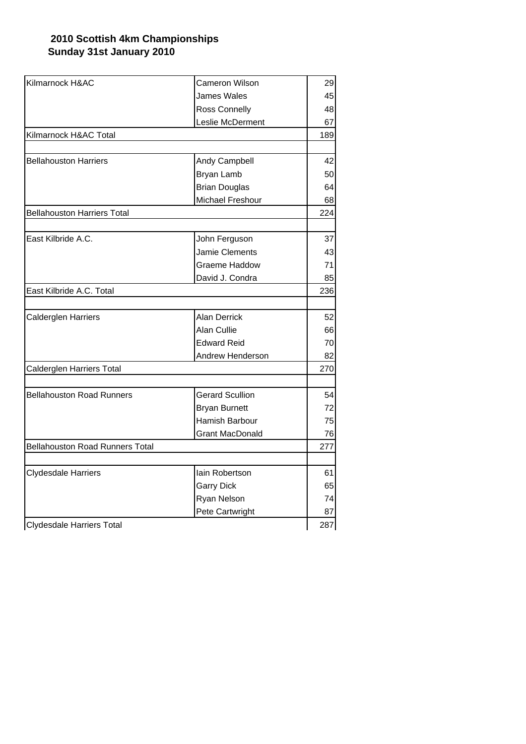| Kilmarnock H&AC                        | <b>Cameron Wilson</b>  | 29        |
|----------------------------------------|------------------------|-----------|
|                                        | <b>James Wales</b>     | 45        |
|                                        | Ross Connelly          | 48        |
|                                        | Leslie McDerment       | 67        |
| Kilmarnock H&AC Total                  |                        | 189       |
|                                        |                        |           |
| <b>Bellahouston Harriers</b>           | Andy Campbell          | 42        |
|                                        | <b>Bryan Lamb</b>      | 50        |
|                                        | <b>Brian Douglas</b>   | 64        |
|                                        | Michael Freshour       | 68        |
| <b>Bellahouston Harriers Total</b>     |                        | 224       |
|                                        |                        |           |
| East Kilbride A.C.                     | John Ferguson          | 37        |
|                                        | Jamie Clements         | 43        |
|                                        | Graeme Haddow          | 71        |
|                                        | David J. Condra        | 85        |
| East Kilbride A.C. Total               |                        |           |
|                                        |                        |           |
| Calderglen Harriers                    | <b>Alan Derrick</b>    | 52        |
|                                        | Alan Cullie            | 66        |
|                                        | <b>Edward Reid</b>     | 70        |
|                                        | Andrew Henderson       | 82        |
| Calderglen Harriers Total              |                        | 270       |
|                                        |                        |           |
| <b>Bellahouston Road Runners</b>       | <b>Gerard Scullion</b> | 54        |
|                                        | <b>Bryan Burnett</b>   | 72        |
|                                        | Hamish Barbour         | 75        |
|                                        | <b>Grant MacDonald</b> | 76<br>277 |
| <b>Bellahouston Road Runners Total</b> |                        |           |
|                                        |                        |           |
| Clydesdale Harriers                    | lain Robertson         | 61        |
|                                        | <b>Garry Dick</b>      | 65        |
|                                        | Ryan Nelson            | 74        |
|                                        | Pete Cartwright        | 87        |
| Clydesdale Harriers Total              |                        | 287       |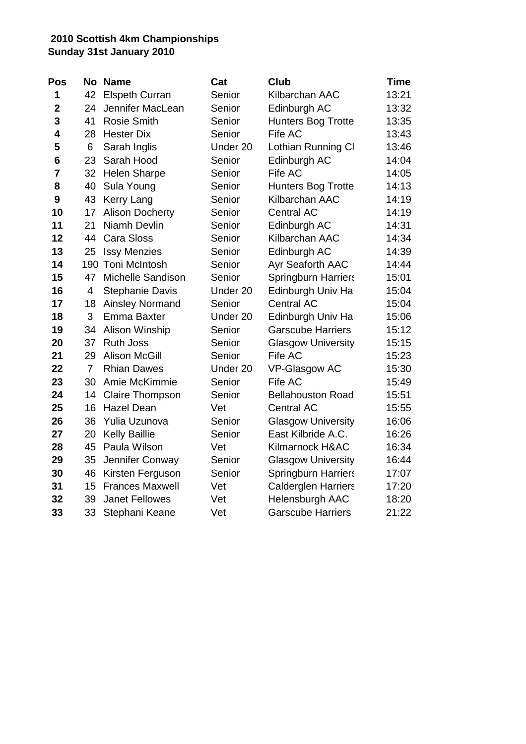| Pos             | Nο             | <b>Name</b>              | Cat      | <b>Club</b>                | <b>Time</b> |
|-----------------|----------------|--------------------------|----------|----------------------------|-------------|
| 1               | 42             | <b>Elspeth Curran</b>    | Senior   | Kilbarchan AAC             | 13:21       |
| $\mathbf 2$     | 24             | Jennifer MacLean         | Senior   | Edinburgh AC               | 13:32       |
| 3               | 41             | <b>Rosie Smith</b>       | Senior   | <b>Hunters Bog Trotte</b>  | 13:35       |
| 4               | 28             | <b>Hester Dix</b>        | Senior   | Fife AC                    | 13:43       |
| 5               | 6              | Sarah Inglis             | Under 20 | Lothian Running CI         | 13:46       |
| $6\phantom{1}6$ | 23             | Sarah Hood               | Senior   | Edinburgh AC               | 14:04       |
| $\overline{7}$  | 32             | <b>Helen Sharpe</b>      | Senior   | Fife AC                    | 14:05       |
| 8               | 40             | Sula Young               | Senior   | <b>Hunters Bog Trotte</b>  | 14:13       |
| 9               | 43             | Kerry Lang               | Senior   | Kilbarchan AAC             | 14:19       |
| 10              | 17             | <b>Alison Docherty</b>   | Senior   | <b>Central AC</b>          | 14:19       |
| 11              | 21             | Niamh Devlin             | Senior   | Edinburgh AC               | 14:31       |
| 12              | 44             | <b>Cara Sloss</b>        | Senior   | Kilbarchan AAC             | 14:34       |
| 13              | 25             | <b>Issy Menzies</b>      | Senior   | Edinburgh AC               | 14:39       |
| 14              | 190            | <b>Toni McIntosh</b>     | Senior   | Ayr Seaforth AAC           | 14:44       |
| 15              | 47             | <b>Michelle Sandison</b> | Senior   | <b>Springburn Harriers</b> | 15:01       |
| 16              | 4              | <b>Stephanie Davis</b>   | Under 20 | Edinburgh Univ Ha          | 15:04       |
| 17              | 18             | <b>Ainsley Normand</b>   | Senior   | <b>Central AC</b>          | 15:04       |
| 18              | 3              | Emma Baxter              | Under 20 | Edinburgh Univ Ha          | 15:06       |
| 19              | 34             | Alison Winship           | Senior   | <b>Garscube Harriers</b>   | 15:12       |
| 20              | 37             | <b>Ruth Joss</b>         | Senior   | <b>Glasgow University</b>  | 15:15       |
| 21              | 29             | <b>Alison McGill</b>     | Senior   | Fife AC                    | 15:23       |
| 22              | $\overline{7}$ | <b>Rhian Dawes</b>       | Under 20 | VP-Glasgow AC              | 15:30       |
| 23              | 30             | Amie McKimmie            | Senior   | Fife AC                    | 15:49       |
| 24              | 14             | <b>Claire Thompson</b>   | Senior   | <b>Bellahouston Road</b>   | 15:51       |
| 25              | 16             | <b>Hazel Dean</b>        | Vet      | <b>Central AC</b>          | 15:55       |
| 26              | 36             | Yulia Uzunova            | Senior   | <b>Glasgow University</b>  | 16:06       |
| 27              | 20             | <b>Kelly Baillie</b>     | Senior   | East Kilbride A.C.         | 16:26       |
| 28              | 45             | Paula Wilson             | Vet      | Kilmarnock H&AC            | 16:34       |
| 29              | 35             | Jennifer Conway          | Senior   | <b>Glasgow University</b>  | 16:44       |
| 30              | 46             | Kirsten Ferguson         | Senior   | <b>Springburn Harriers</b> | 17:07       |
| 31              | 15             | <b>Frances Maxwell</b>   | Vet      | <b>Calderglen Harriers</b> | 17:20       |
| 32              | 39             | <b>Janet Fellowes</b>    | Vet      | <b>Helensburgh AAC</b>     | 18:20       |
| 33              | 33             | Stephani Keane           | Vet      | <b>Garscube Harriers</b>   | 21:22       |